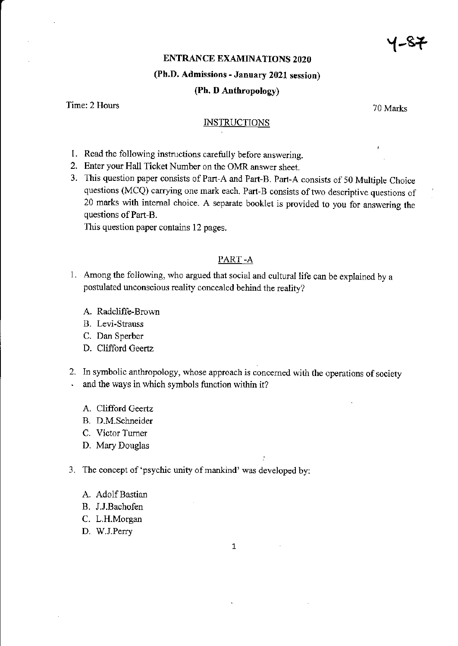y-s<del>t</del>

## ENTRANCE EXAMINATIONS 2O2O

### (Ph.D. Admissions - January 2021 session)

#### (Ph. D Anthropology)

Time: 2 Hours 70 Marks

#### **INSTRUCTIONS**

- 1. Read the following instructions carefully before answering.
- 2. Enter your Hall Ticket Number on the OMR answer sheet.
- 3. This question paper consists of Part-A and Part-B. Part-A consists of 50 Multiple Choice questions (MCQ) carrying one mark each. Part-B consists of two descriptive questions of 20 marks with intemal choice. A separate booklet is provided to you fot answering the questions of Part-B.

This question paper contains 12 pages.

#### PART -A

- l. Among the following, who argued that social and cultural life can be explained by <sup>a</sup> postulated unconscious reality concealed behind the reality?
	- A. Radcliffe-Brown
	- B. Levi-Strauss
	- C. Dan Sperber
	- D. Clifford Geertz
- 2. In symbolic anthropology, whose approach is concerned with the operations of society and the ways in which symbols function within it?
	- A. Clifford Geenz
	- B. D.M.Schneider
	- C. Victor Tumer
	- D. Mary Douglas
- 3. The concept of 'psychic unity of mankind' was developed by:
	- A. Adolf Bastian
	- B. J.J.Bachofen
	- C. L.H.Morgan
	- D. W.J.Perry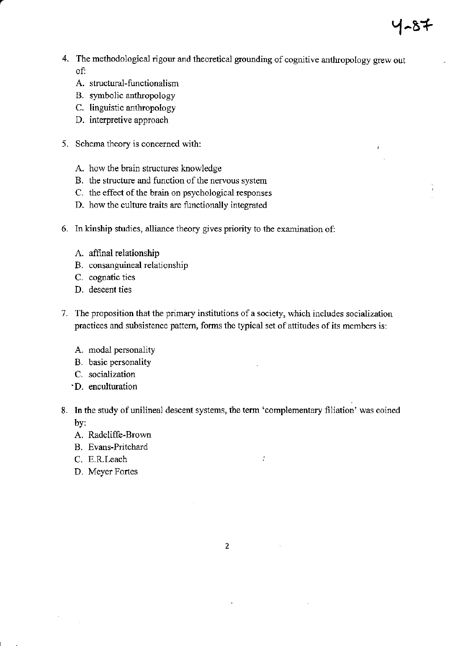4. The methodological rigour and theoretical grounding of cognitive anthropology grew out of:

प-87

- A. structural-functionalism
- B. symbolic anthropology
- C. linguistic anthropology
- D. interpretive approach
- 5. Schema theory is concerned with:
	- A. how the brain structures knowledge
	- B. the structure and function of the nervous system
	- C. the effect of the brain on psychological responses
	- D. how the culture traits are functionally integrated
- 6. In kinship studies, alliance theory gives priority to the examination of:
	- A. affinal relationship
	- B. consanguineal relationship
	- C. cognatic ties
	- D. descent ties
- 7. The proposition that the primary institutions of a society, which includes socialization practices and subsistence pattern, forms the typical set of attitudes of its members is:
	- A. modal personality
	- B. basic personality
	- C. socialization
	- D. enculturation
- 8. In the study of unilineal descent systems, the term 'complementary filiation' was coined by:

 $\ddot{\cdot}$ 

- A. Radcliffe-Brown
- B. Evans-Pritchard
- C. E.R.Leach
- D. Meyer Fortes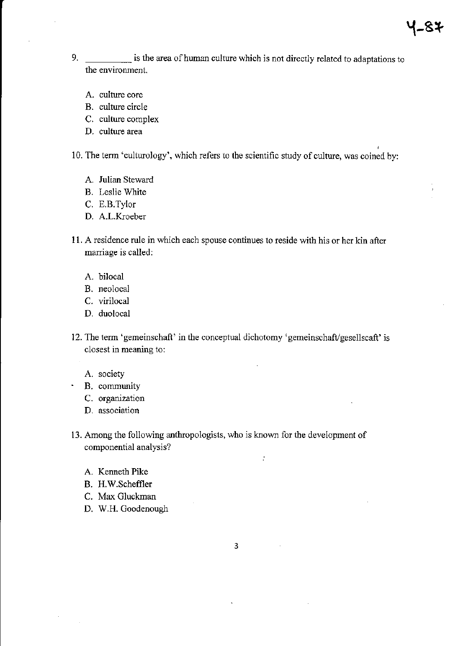9. **is the area of human culture which is not directly related to adaptations to** the environnent.

 $4 - 8 +$ 

- A. culture core
- B. culture circle
- C. culture complex
- D. culture area

10. The term 'culturology', which referc to the scientific study of culture, was coined by:

- A. Julian Steward
- B. Leslie White
- C. E.B.Tylor
- D. A.L.Kroeber
- I 1. A residence rule in which each spouse continues to reside with his or her kin after mariage is called:
	- A. bilocal
	- B. neolocal
	- C. virilocal
	- D. duolocal
- 12. The term 'gemeinschaft' in the conceptual dichotomy 'gemeinschaft/gesellscaft' is closest in meaning to:
	- A. society
	- ' B. cormunity
		- C. organization
		- D. association
- 13. Among the following anthropologists, who is known for the development of componential analysis?
	- A. Kenneth Pike
	- B. H.W.Scheffler
	- C. Max Gluckman
	- D. W.H. Goodenough

 $\overline{3}$ 

 $\tilde{t}$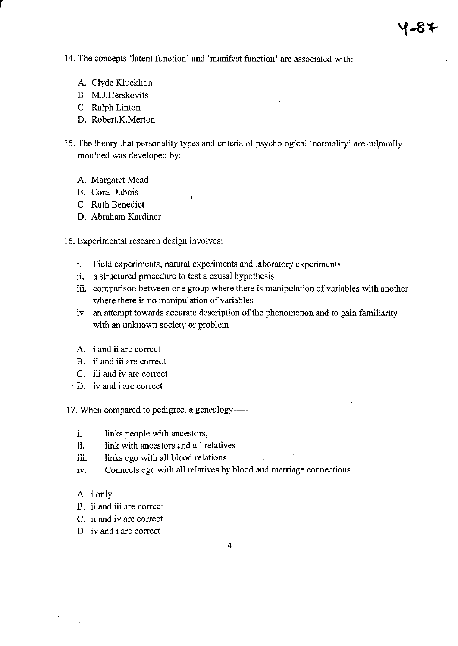14. The concepts 'latent function' and 'manifest function' are associated with:

- A. Clyde Kluckhon
- B. M.J.Herskovits
- C. Ralph Linton
- D. Robert.K.Merton
- 15. The theory that personality types and criteria of psychological 'normality' are culturally moulded was dereloped by:
	- A. Margaret Mead
	- B. Cora Dubois
	- C. Ruth Benedict
	- D. Abraham Kardiner
- 16. Experimental research design involves:
	- i. Field experiments, natural experiments and laboratory experiments
	- ii. a structured procedure to test a causal hypothesis
	- iii. comparison between one group where there is manipulation of variables with another where there is no nanipulation of variables
	- iv. an attempt towards accurate description of the phenomenon and to gain familiarity with an unknown society or problem
	- A. <sup>i</sup>and ii are correct
	- B. ii and iii are correct
	- C. iii and iv are corect
	- $\cdot$  D. iv and i are correct

17. When compared to pedigree. a genealogy----

- i. links people with ancestors,
- ii. link with ancestors and all relatives
- iii. links ego with all blood relations
- iv. Connects ego with all relatives by blood and marriage connections
- A. i only
- B. ii and iii are correct
- C. ii and iv are correct
- D. iv and i are correct

 $\overline{4}$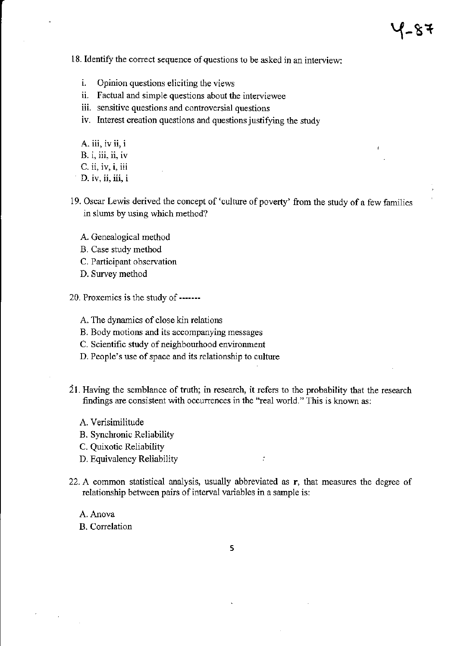18. Identify the correct sequence of questions to be asked in an interview:

- i. Opinion questions eliciting the views
- ii. Factual and simple questions about the interviewee
- iii. sensitive questions and controversial questions
- iv. Interest creation questions and questions justifying the study
- A. iii, iv ii, i
- B. i, iii, ii, iv
- C. ii, iv, i, iii
- D. iv, ii, iii, i
- 19. Oscar Lewis derived the concept of 'culture of poverty' from the study of a few families in slums by using which method?
	- A. Genealogical method
	- B. Case study method
	- C. Participant observation
	- D. Survey method

20. Proxemics is the study of----

- A. The dynamics of close kin relations
- B. Body motions and its accompanying messages
- C. Scientific study of neighbourhood environment
- D. People's use of space and its relationship to culture
- <sup>2</sup>I . Having the semblance of truth; in research, it refers to the probability that the research findings are consistent with occurrences in the "real world." This is known as:
	- A. verisimilitude
	- B. Synchronic Reliability
	- C. Quixotic Reliability
	- D. Equivalency Reliability
- 22. A common statistical analysis, usually abbreviated as r, that measures the degree of relationship between pairs of interval variables in a sample is:

 $\mathcal{I}$ 

A. Anova

B. Correlation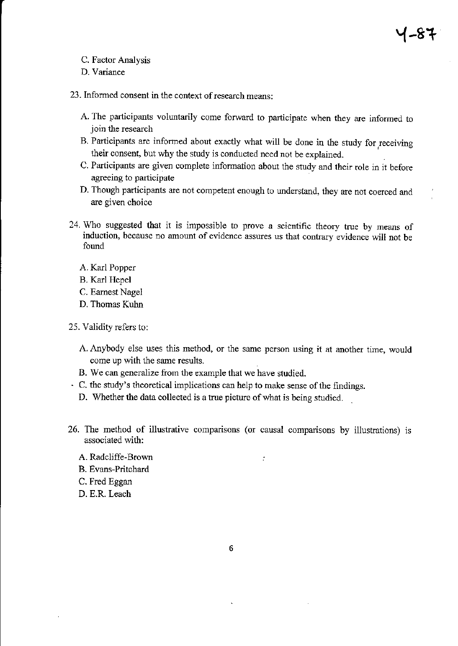- C. Factor Analysis
- D. Variance
- 23. Informed consent in the context of research means:
	- A. The participants voluntarily come forward to participate when they are informed to join the research
	- B. Participants are informed about exactly what will be done in the study for receiving their consent, but why the study is conducted need not be explained.
	- C. Participants are given complete information about the study aad their role in it before agreeing to participate
	- D. Though participants ate not competent enough to understand, they arc not coerced and are given choice
- 24. Who suggested that it is impossible to prove a scientific theory true by means of induction, because no amount of evidence assures us that contrary evidence will not be found
	- A. Karl Popper
	- B. Karl Hepel
	- C. Eamest Nagel
	- D. Thomas Kuhn
- 25. Validity refers to:
	- A. Anybody else uses this method, or the same person using it at another time, would come up with the same results.
	- B. We can generalize fiom the example that we have studied.
- $\cdot$  C. the study's theoretical implications can help to make sense of the findings.
	- D. Whether the data collected is a true picture of what is being studied.
- 26. The method of illustrative comparisons (or causal comparisons by illustrations) is associated with:

 $\mathcal{I}$ 

- A. Radcliffe-Brown
- B. Evans-Pritchard
- C. Fred Eggan
- D. E.R. Leach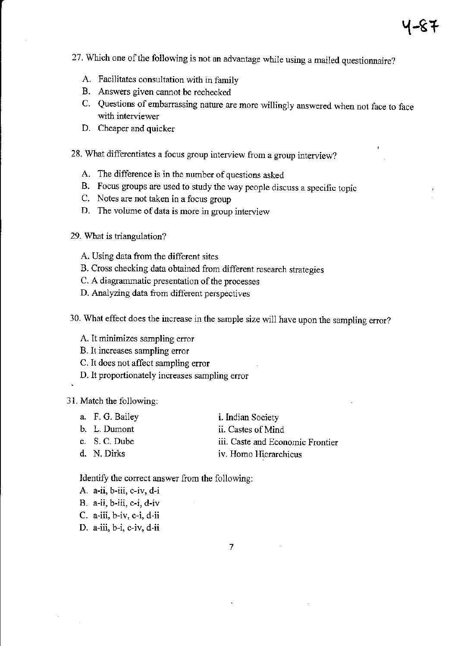- 27. Which one of the following is not an advantage while using a mailed questionnaire?
	- A. Facilitates consultation with in family
	- B. Answers given cannot be rechecked
	- C. Questions of embarassing natue are more willingly answered when not face to face with interviewer
	- D. Cheaper and quicker
- 28. What differentiates a focus group interview from a group interview?
	- A. The difference is in the number of questions asked
	- B. Focus groups are used to study the way people discuss a specific topic
	- C. Notes are not taken in a focus group
	- D. The volume of data is more in group interview
- 29. What is triangulation?
	- A. Using data from the different sites
	- B. Cross checking data obtained from different research strategies
	- C. A diagrammatic presentation of the processes
	- D. Analyzing data fiom different perspectives
- 30. What effect does the increase in the sample size will have upon the sampling error?
	- A. lt minimizes sampling error
	- B. It increases sampling error
	- C. It does not affect sampling error
	- D. It proportionately increases sampling error

#### 31. Match the following:

- a. F. G. Bailey i. Indian Society
- b. L. Dumont c. S. C. Dube ii. Castes of Mind
	- iii. Caste and Economic Frontier
- d. N. Dirks iv. Homo Hierarchicus

Identify the correct answer from the following:

- A. a-ii, b-iii, c-iv, d-i
- B. a-ii, b-iii, c-i, d-iv
- C. a-iii, b-iv, c-i, d-ii
- D. a-iii, b-i, c-iv, d-ii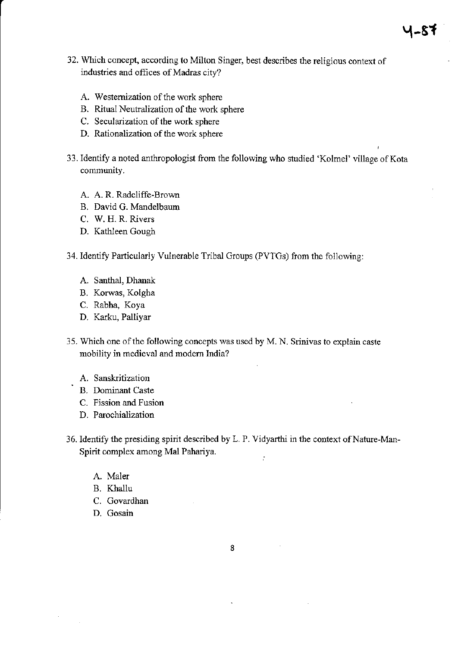4-87

- A. Westemization of the work sphere
- B. Ritual Neutralization of the work sphere
- C. Secularization of the work sphere
- D. Rationalization of the work sphere
- 33. Identify a noted anthropologist from the following who studied 'Kolmel' village of Kota community.
	- A. A. R. Radcliffe-Brown
	- B. David G. Mandelbaum
	- C. W. H. R. Rivers
	- D. Kathleen Gough
- 34. Identify Particularly Vulnerable Tribal Groups (PVTGs) from the following:
	- A. Santhal, Dhanak
	- B. Korwas, Kolgha
	- C. Rabha, Koya
	- D. Karku, Palliyar
- 35. Which one of the following concepts was used by M. N. Srinivas to explain caste mobility in medieval and modem India?
	- A. Sanskritization
	- B. Dominant Caste
	- C. Fission and Fusion
	- D. Parochialization
- 36. Identify the presiding spirit described by L. P. Vidyarthi in the context of Nature-Man-Spirit complex among Md Pahariya.  $\tilde{t}$ 
	- A. Maler
	- B. Khallu
	- C. Govardhan
	- D. Gosain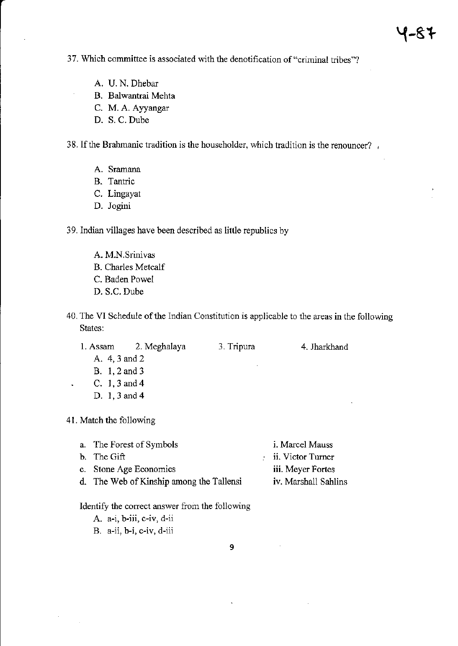37. Which committee is associated with the denotification of"criminal tribes"?

- A. U.N. Dhebar
- B. Balwantrai Mehta
- C. M. A. Ayyangar
- D. S. C. Dube

38. If the Brahmanic tradition is the householder, which tradition is the renouncer?,

- A. Sramana
- R. Tantric
- C. Lingayat
- D. Jogini
- 39. Indian villages have been described as litde republics by
	- A. M.N.Srinivas
	- B. Charles Metcalf
	- C. Baden Powel
	- D. S.C. Dube
- 40. The VI Schedule of the Indian Constitution is applicable to the areas in the following States:

| 1. Assam        | 2. Meghalaya | 3. Tripura | 4. Jharkhand |
|-----------------|--------------|------------|--------------|
| A. 4, 3 and 2   |              |            |              |
| B. 1, 2 and 3   |              |            |              |
| C. 1, 3 and 4   |              |            |              |
| D. $1, 3$ and 4 |              |            |              |
|                 |              |            |              |

<sup>4</sup>I . Match the following

| a. The Forest of Symbols                 | i. Marcel Mauss      |
|------------------------------------------|----------------------|
| b. The Gift                              | ii. Victor Turner    |
| c. Stone Age Economics                   | iii. Meyer Fortes    |
| d. The Web of Kinship among the Tallensi | iv. Marshall Sahlins |
|                                          |                      |

Identify the corect answer from the following

- A. a-i, b-iii, c-iv, d-ii
- B. a-ii, b-i, c-iv, d-iii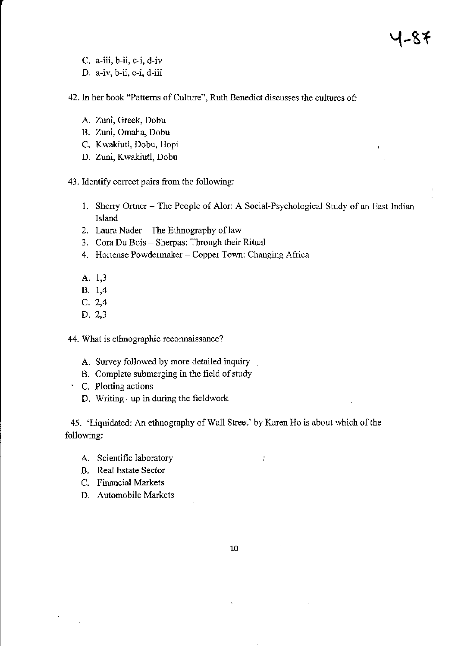- C. a-iii, b-ii, c-i, d-iv
- D. a-iv, b-ii, c-i, d-iii

42, In her book "Pattems of Culture", Ruth Benedict discusses the cultures of:

- A. Zuni, Greek, Dobu
- B. Zuni, Omaha, Dobu
- C. Kwakiutl, Dobu, Hopi
- D. Zuni, Kwakiutl, Dobu

43. Identify correct pairs from the following:

- 1. Sherry Ortner The People of Alor: A Social-Psychological Study of an East Indian Island
- 2. Laura Nader The Ethnography of law
- 3. Cora Du Bois Sherpas: Through their Ritual
- 4. Hortense Powdermaker Copper Town: Changing Africa
- A. 1,3
- B. 1,4
- c. 2,4
- D.2,3

44. What is ethnographic reconnaissance?

- A. Survey followed by more detailed inquiry
- B. Complete submerging in the field of study
- ' C. Plotting actions
	- D. Writing -up in during the fieldwork

45. 'Liquidated: An ethnography of Wall Street' by Karen Ho is about which of the following:

÷,

- A. Scientific laboratory
- B. Real Estate Sector
- C. Financial Markets
- D. Automobile Markets

10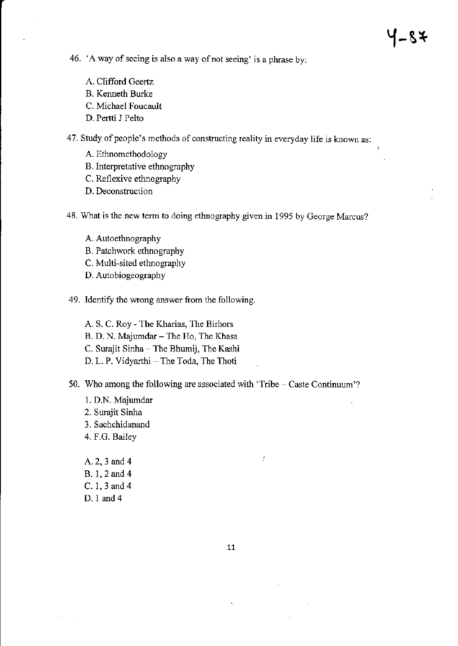- 46. 'A way of seeing is also a way of not seeing' is a phrase by:
	- A. Clifford Geertz
	- B. Kemeth Burke
	- C. Michael Foucault
	- D. Pertti J Pelto
- 47. Study of people's methods of constructing reality in everyday life is known as:
	- A. Etlnomethodology
	- B. Interpretative ethnography
	- C. Reflexive ethnography
	- D. Deconstruction
- 48. What is the new term to doing ethnography given in 1995 by George Marcus?
	- A. Autoetbnography
	- B. Patchwork ethnography
	- C. Multi-sited ethnography
	- D. Autobiogeography
- 49. Identify the wrong answer fiom the following.
	- A. S. C. Roy The Kharias, The Birhors B. D. N. Majumdar - The Ho, The Khasa C. Surajit Sinha - The Bhumij, The Kashi D. L. P. Vidyarthi - The Toda, The Thoti
- 50. Who among the following are associated with 'Tribe Caste Continuum'?
	- l. D.N. Majumdar 2. Surajit Sinha <sup>3</sup>. Sachchidanand 4. F.G. Bailey
	- 4.2,3 and 4 B. 1,2 and 4 C. 1,3and4 D. 1 and 4

 $\dot{r}$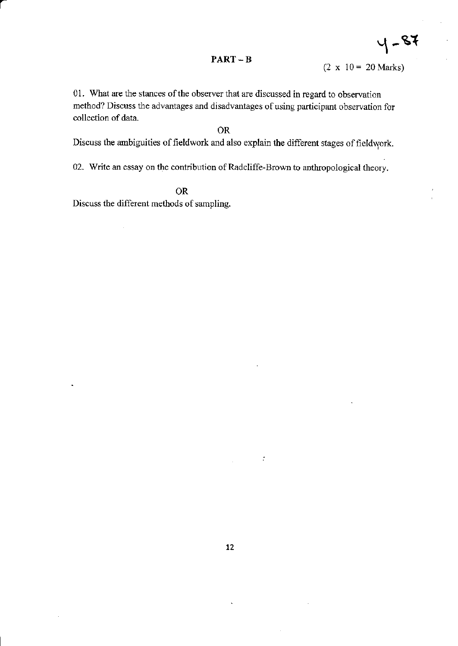#### $PART - B$

 $4 - 87$ 

01. What are the stances of the observer that are discussed in regard to observation method? Discuss the advantages and disadvantages of using participant observation for collection of data.

#### OR

Discuss the ambiguities of fieldwork and also explain the different stages of fieldwork.

02. Write an essay on the contribution of Radcliffe-Brown to anthropological theory.

OR Discuss the different methods of sampling.

a

 $\ddot{\phantom{0}}$ 

 $\sim$  1